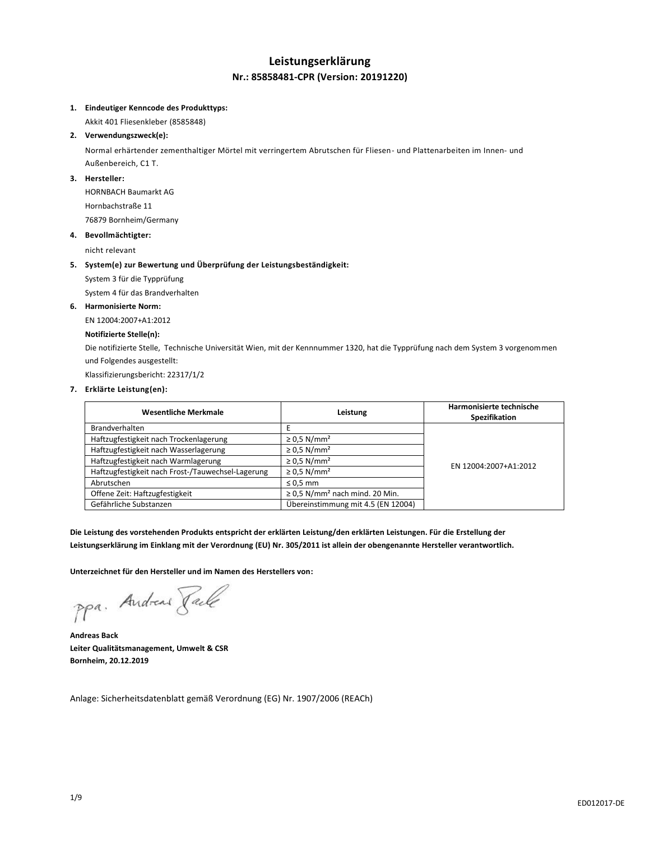### **Leistungserklärung Nr.: 85858481-CPR (Version: 20191220)**

### **1. Eindeutiger Kenncode des Produkttyps:**

Akkit 401 Fliesenkleber (8585848)

### **2. Verwendungszweck(e):**

Normal erhärtender zementhaltiger Mörtel mit verringertem Abrutschen für Fliesen- und Plattenarbeiten im Innen- und Außenbereich, C1 T.

### **3. Hersteller:**

HORNBACH Baumarkt AG Hornbachstraße 11 76879 Bornheim/Germany

### **4. Bevollmächtigter:**

nicht relevant

### **5. System(e) zur Bewertung und Überprüfung der Leistungsbeständigkeit:**

System 3 für die Typprüfung

System 4 für das Brandverhalten

### **6. Harmonisierte Norm:**

EN 12004:2007+A1:2012

### **Notifizierte Stelle(n):**

Die notifizierte Stelle, Technische Universität Wien, mit der Kennnummer 1320, hat die Typprüfung nach dem System 3 vorgenommen und Folgendes ausgestellt:

Klassifizierungsbericht: 22317/1/2

### **7. Erklärte Leistung(en):**

| <b>Wesentliche Merkmale</b>                       | Leistung                                        | Harmonisierte technische<br>Spezifikation |
|---------------------------------------------------|-------------------------------------------------|-------------------------------------------|
| <b>Brandverhalten</b>                             |                                                 |                                           |
| Haftzugfestigkeit nach Trockenlagerung            | $\geq$ 0.5 N/mm <sup>2</sup>                    |                                           |
| Haftzugfestigkeit nach Wasserlagerung             | $\geq$ 0.5 N/mm <sup>2</sup>                    |                                           |
| Haftzugfestigkeit nach Warmlagerung               | $\geq$ 0.5 N/mm <sup>2</sup>                    | EN 12004:2007+A1:2012                     |
| Haftzugfestigkeit nach Frost-/Tauwechsel-Lagerung | $\geq$ 0.5 N/mm <sup>2</sup>                    |                                           |
| Abrutschen                                        | $\leq 0.5$ mm                                   |                                           |
| Offene Zeit: Haftzugfestigkeit                    | $\geq$ 0,5 N/mm <sup>2</sup> nach mind. 20 Min. |                                           |
| Gefährliche Substanzen                            | Übereinstimmung mit 4.5 (EN 12004)              |                                           |

**Die Leistung des vorstehenden Produkts entspricht der erklärten Leistung/den erklärten Leistungen. Für die Erstellung der Leistungserklärung im Einklang mit der Verordnung (EU) Nr. 305/2011 ist allein der obengenannte Hersteller verantwortlich.**

**Unterzeichnet für den Hersteller und im Namen des Herstellers von:**

ppa. Andreas Pale

**Andreas Back Leiter Qualitätsmanagement, Umwelt & CSR Bornheim, 20.12.2019**

Anlage: Sicherheitsdatenblatt gemäß Verordnung (EG) Nr. 1907/2006 (REACh)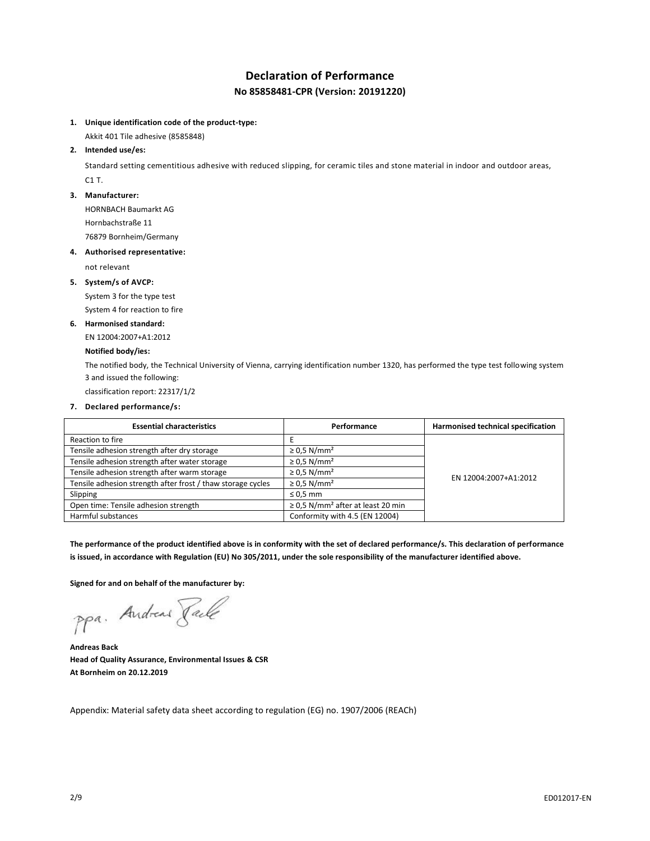# **Declaration of Performance No 85858481-CPR (Version: 20191220)**

### **1. Unique identification code of the product-type:**

Akkit 401 Tile adhesive (8585848)

### **2. Intended use/es:**

Standard setting cementitious adhesive with reduced slipping, for ceramic tiles and stone material in indoor and outdoor areas, C1 T.

#### **3. Manufacturer:**

HORNBACH Baumarkt AG

Hornbachstraße 11

76879 Bornheim/Germany

### **4. Authorised representative:**

not relevant

### **5. System/s of AVCP:**

System 3 for the type test System 4 for reaction to fire

### **6. Harmonised standard:**

EN 12004:2007+A1:2012

### **Notified body/ies:**

The notified body, the Technical University of Vienna, carrying identification number 1320, has performed the type test following system 3 and issued the following:

classification report: 22317/1/2

### **7. Declared performance/s:**

| <b>Essential characteristics</b>                            | Performance                                        | Harmonised technical specification |
|-------------------------------------------------------------|----------------------------------------------------|------------------------------------|
| Reaction to fire                                            |                                                    |                                    |
| Tensile adhesion strength after dry storage                 | $\geq$ 0.5 N/mm <sup>2</sup>                       |                                    |
| Tensile adhesion strength after water storage               | $\geq$ 0.5 N/mm <sup>2</sup>                       | EN 12004:2007+A1:2012              |
| Tensile adhesion strength after warm storage                | $\geq$ 0.5 N/mm <sup>2</sup>                       |                                    |
| Tensile adhesion strength after frost / thaw storage cycles | $\geq$ 0.5 N/mm <sup>2</sup>                       |                                    |
| Slipping                                                    | $\leq 0.5$ mm                                      |                                    |
| Open time: Tensile adhesion strength                        | $\geq$ 0.5 N/mm <sup>2</sup> after at least 20 min |                                    |
| Harmful substances                                          | Conformity with 4.5 (EN 12004)                     |                                    |

**The performance of the product identified above is in conformity with the set of declared performance/s. This declaration of performance is issued, in accordance with Regulation (EU) No 305/2011, under the sole responsibility of the manufacturer identified above.**

**Signed for and on behalf of the manufacturer by:**

ppa. Andreas Tack

**Andreas Back Head of Quality Assurance, Environmental Issues & CSR At Bornheim on 20.12.2019**

Appendix: Material safety data sheet according to regulation (EG) no. 1907/2006 (REACh)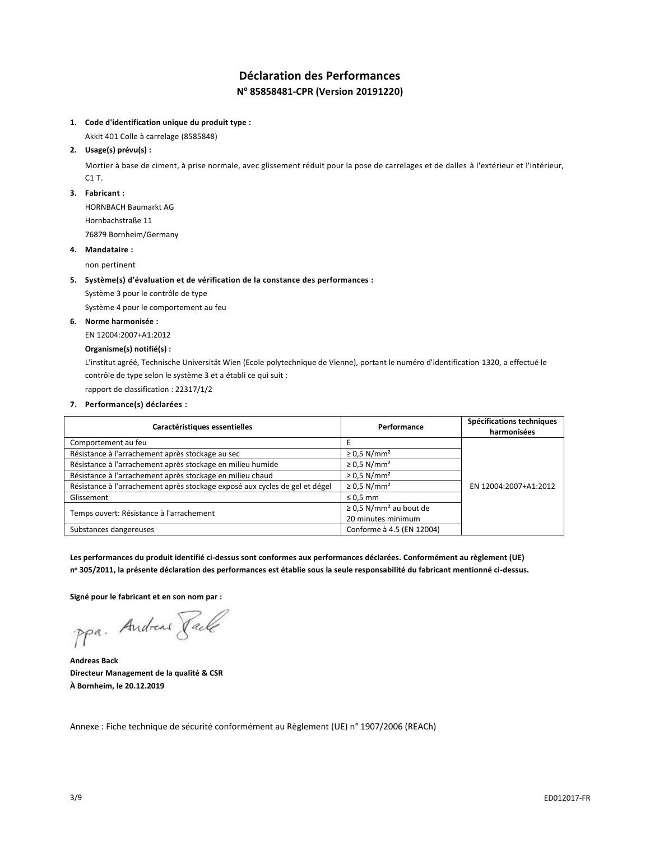# **Déclaration des Performances N <sup>o</sup> 85858481-CPR (Version 20191220)**

### **1. Code d'identification unique du produit type :**

Akkit 401 Colle à carrelage (8585848)

### **2. Usage(s) prévu(s) :**

Mortier à base de ciment, à prise normale, avec glissement réduit pour la pose de carrelages et de dalles à l'extérieur et l'intérieur, C1 T.

#### **3. Fabricant :**

HORNBACH Baumarkt AG Hornbachstraße 11 76879 Bornheim/Germany

### **4. Mandataire :**

non pertinent

### **5. Système(s) d'évaluation et de vérification de la constance des performances :**

Système 3 pour le contrôle de type

Système 4 pour le comportement au feu

### **6. Norme harmonisée :**

EN 12004:2007+A1:2012

### **Organisme(s) notifié(s) :**

L'institut agréé, Technische Universität Wien (Ecole polytechnique de Vienne), portant le numéro d'identification 1320, a effectué le contrôle de type selon le système 3 et a établi ce qui suit :

rapport de classification : 22317/1/2

### **7. Performance(s) déclarées :**

| Caractéristiques essentielles                                               | Performance                             | Spécifications techniques<br>harmonisées |
|-----------------------------------------------------------------------------|-----------------------------------------|------------------------------------------|
| Comportement au feu                                                         |                                         |                                          |
| Résistance à l'arrachement après stockage au sec                            | $\geq$ 0.5 N/mm <sup>2</sup>            |                                          |
| Résistance à l'arrachement après stockage en milieu humide                  | $\geq$ 0.5 N/mm <sup>2</sup>            |                                          |
| Résistance à l'arrachement après stockage en milieu chaud                   | $\geq$ 0.5 N/mm <sup>2</sup>            |                                          |
| Résistance à l'arrachement après stockage exposé aux cycles de gel et dégel | $\geq$ 0.5 N/mm <sup>2</sup>            | EN 12004:2007+A1:2012                    |
| Glissement                                                                  | $\leq$ 0.5 mm                           |                                          |
|                                                                             | $\geq$ 0.5 N/mm <sup>2</sup> au bout de |                                          |
| Temps ouvert: Résistance à l'arrachement                                    | 20 minutes minimum                      |                                          |
| Substances dangereuses                                                      | Conforme à 4.5 (EN 12004)               |                                          |

**Les performances du produit identifié ci-dessus sont conformes aux performances déclarées. Conformément au règlement (UE) n <sup>o</sup> 305/2011, la présente déclaration des performances est établie sous la seule responsabilité du fabricant mentionné ci-dessus.**

**Signé pour le fabricant et en son nom par :**

ppa. Andreas Pale

**Andreas Back Directeur Management de la qualité & CSR À Bornheim, le 20.12.2019**

Annexe : Fiche technique de sécurité conformément au Règlement (UE) n° 1907/2006 (REACh)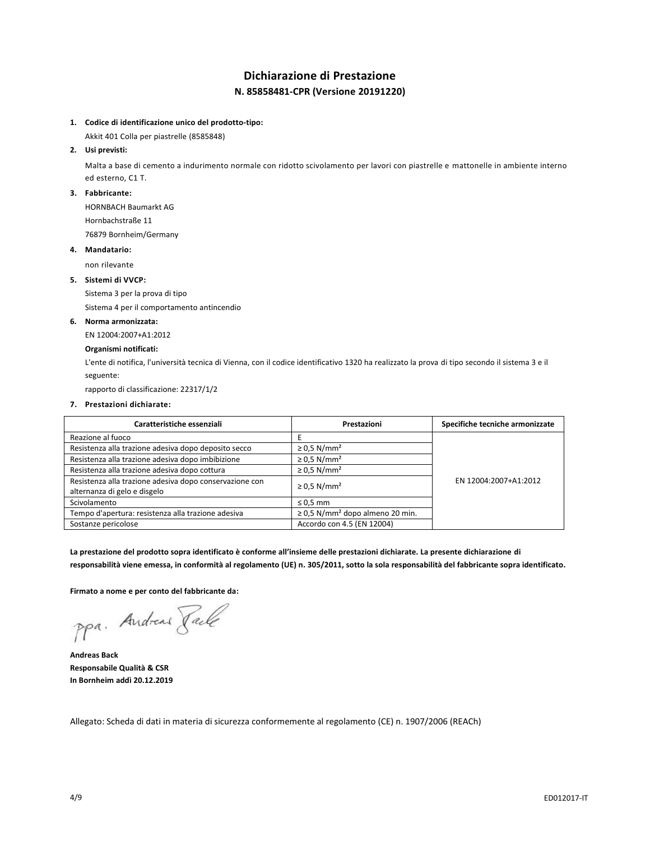## **Dichiarazione di Prestazione N. 85858481-CPR (Versione 20191220)**

### **1. Codice di identificazione unico del prodotto-tipo:**

Akkit 401 Colla per piastrelle (8585848)

### **2. Usi previsti:**

Malta a base di cemento a indurimento normale con ridotto scivolamento per lavori con piastrelle e mattonelle in ambiente interno ed esterno, C1 T.

### **3. Fabbricante:**

HORNBACH Baumarkt AG

Hornbachstraße 11 76879 Bornheim/Germany

### **4. Mandatario:**

non rilevante

### **5. Sistemi di VVCP:**

Sistema 3 per la prova di tipo

Sistema 4 per il comportamento antincendio

### **6. Norma armonizzata:**

EN 12004:2007+A1:2012

### **Organismi notificati:**

L'ente di notifica, l'università tecnica di Vienna, con il codice identificativo 1320 ha realizzato la prova di tipo secondo il sistema 3 e il seguente:

rapporto di classificazione: 22317/1/2

### **7. Prestazioni dichiarate:**

| Caratteristiche essenziali                                                              | Prestazioni                                      | Specifiche tecniche armonizzate |
|-----------------------------------------------------------------------------------------|--------------------------------------------------|---------------------------------|
| Reazione al fuoco                                                                       |                                                  |                                 |
| Resistenza alla trazione adesiva dopo deposito secco                                    | $\geq$ 0.5 N/mm <sup>2</sup>                     |                                 |
| Resistenza alla trazione adesiva dopo imbibizione                                       | $\geq$ 0.5 N/mm <sup>2</sup>                     |                                 |
| Resistenza alla trazione adesiva dopo cottura                                           | $\geq$ 0.5 N/mm <sup>2</sup>                     |                                 |
| Resistenza alla trazione adesiva dopo conservazione con<br>alternanza di gelo e disgelo | $\geq$ 0.5 N/mm <sup>2</sup>                     | EN 12004:2007+A1:2012           |
| Scivolamento                                                                            | $\leq 0.5$ mm                                    |                                 |
| Tempo d'apertura: resistenza alla trazione adesiva                                      | $\geq$ 0.5 N/mm <sup>2</sup> dopo almeno 20 min. |                                 |
| Sostanze pericolose                                                                     | Accordo con 4.5 (EN 12004)                       |                                 |

**La prestazione del prodotto sopra identificato è conforme all'insieme delle prestazioni dichiarate. La presente dichiarazione di responsabilità viene emessa, in conformità al regolamento (UE) n. 305/2011, sotto la sola responsabilità del fabbricante sopra identificato.**

**Firmato a nome e per conto del fabbricante da:**

ppa. Andreas Paule

**Andreas Back Responsabile Qualità & CSR In Bornheim addì 20.12.2019**

Allegato: Scheda di dati in materia di sicurezza conformemente al regolamento (CE) n. 1907/2006 (REACh)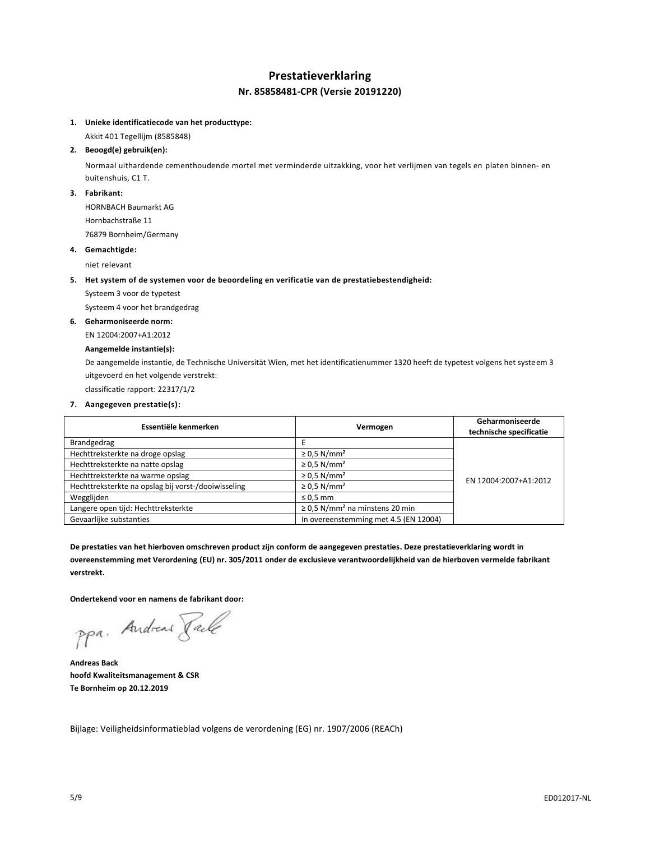# **Prestatieverklaring**

### **Nr. 85858481-CPR (Versie 20191220)**

### **1. Unieke identificatiecode van het producttype:**

Akkit 401 Tegellijm (8585848)

### **2. Beoogd(e) gebruik(en):**

Normaal uithardende cementhoudende mortel met verminderde uitzakking, voor het verlijmen van tegels en platen binnen- en buitenshuis, C1 T.

### **3. Fabrikant:**

HORNBACH Baumarkt AG Hornbachstraße 11

76879 Bornheim/Germany

### **4. Gemachtigde:**

niet relevant

### **5. Het system of de systemen voor de beoordeling en verificatie van de prestatiebestendigheid:**

Systeem 3 voor de typetest

Systeem 4 voor het brandgedrag

### **6. Geharmoniseerde norm:**

EN 12004:2007+A1:2012

### **Aangemelde instantie(s):**

De aangemelde instantie, de Technische Universität Wien, met het identificatienummer 1320 heeft de typetest volgens het systeem 3 uitgevoerd en het volgende verstrekt:

classificatie rapport: 22317/1/2

### **7. Aangegeven prestatie(s):**

| Essentiële kenmerken                                | Vermogen                                        | Geharmoniseerde<br>technische specificatie |
|-----------------------------------------------------|-------------------------------------------------|--------------------------------------------|
| Brandgedrag                                         |                                                 |                                            |
| Hechttreksterkte na droge opslag                    | $\geq$ 0.5 N/mm <sup>2</sup>                    |                                            |
| Hechttreksterkte na natte opslag                    | $\geq$ 0.5 N/mm <sup>2</sup>                    |                                            |
| Hechttreksterkte na warme opslag                    | $\geq$ 0.5 N/mm <sup>2</sup>                    | EN 12004:2007+A1:2012                      |
| Hechttreksterkte na opslag bij vorst-/dooiwisseling | $\geq$ 0.5 N/mm <sup>2</sup>                    |                                            |
| Wegglijden                                          | $\leq 0.5$ mm                                   |                                            |
| Langere open tijd: Hechttreksterkte                 | $\geq$ 0,5 N/mm <sup>2</sup> na minstens 20 min |                                            |
| Gevaarlijke substanties                             | In overeenstemming met 4.5 (EN 12004)           |                                            |

**De prestaties van het hierboven omschreven product zijn conform de aangegeven prestaties. Deze prestatieverklaring wordt in overeenstemming met Verordening (EU) nr. 305/2011 onder de exclusieve verantwoordelijkheid van de hierboven vermelde fabrikant verstrekt.**

**Ondertekend voor en namens de fabrikant door:**

ppa. Andreas Pale

**Andreas Back hoofd Kwaliteitsmanagement & CSR Te Bornheim op 20.12.2019**

Bijlage: Veiligheidsinformatieblad volgens de verordening (EG) nr. 1907/2006 (REACh)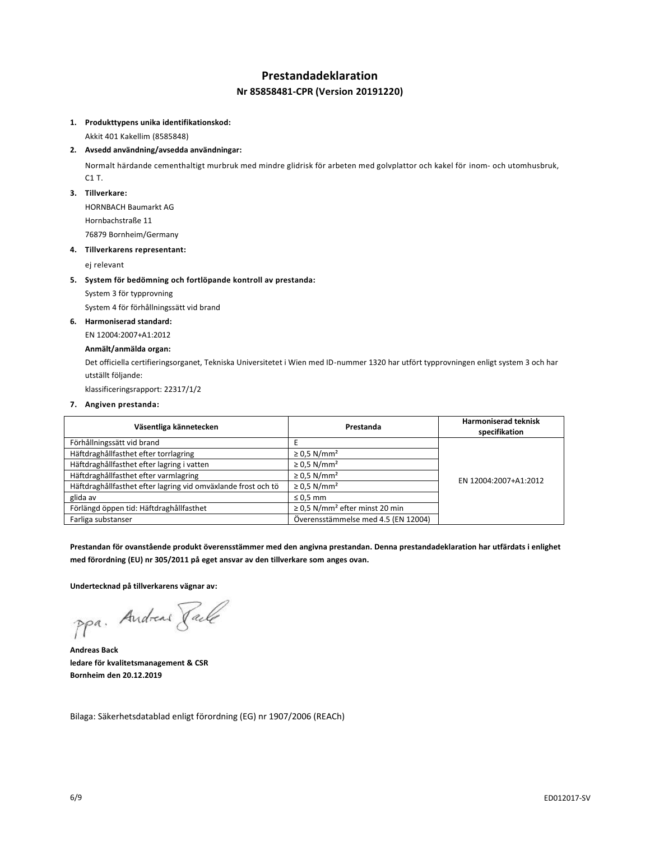### **Prestandadeklaration**

### **Nr 85858481-CPR (Version 20191220)**

#### **1. Produkttypens unika identifikationskod:**

Akkit 401 Kakellim (8585848)

### **2. Avsedd användning/avsedda användningar:**

Normalt härdande cementhaltigt murbruk med mindre glidrisk för arbeten med golvplattor och kakel för inom- och utomhusbruk, C1 T.

### **3. Tillverkare:**

HORNBACH Baumarkt AG Hornbachstraße 11

76879 Bornheim/Germany

### **4. Tillverkarens representant:**

ej relevant

### **5. System för bedömning och fortlöpande kontroll av prestanda:**

System 3 för typprovning

System 4 för förhållningssätt vid brand

### **6. Harmoniserad standard:**

EN 12004:2007+A1:2012

### **Anmält/anmälda organ:**

Det officiella certifieringsorganet, Tekniska Universitetet i Wien med ID-nummer 1320 har utfört typprovningen enligt system 3 och har utställt följande:

klassificeringsrapport: 22317/1/2

### **7. Angiven prestanda:**

| Väsentliga kännetecken                                        | Prestanda                                       | <b>Harmoniserad teknisk</b><br>specifikation |
|---------------------------------------------------------------|-------------------------------------------------|----------------------------------------------|
| Förhållningssätt vid brand                                    |                                                 |                                              |
| Häftdraghållfasthet efter torrlagring                         | $\geq$ 0.5 N/mm <sup>2</sup>                    |                                              |
| Häftdraghållfasthet efter lagring i vatten                    | $\geq$ 0.5 N/mm <sup>2</sup>                    |                                              |
| Häftdraghållfasthet efter varmlagring                         | $\geq$ 0.5 N/mm <sup>2</sup>                    | EN 12004:2007+A1:2012                        |
| Häftdraghållfasthet efter lagring vid omväxlande frost och tö | $\geq$ 0.5 N/mm <sup>2</sup>                    |                                              |
| glida av                                                      | $\leq 0.5$ mm                                   |                                              |
| Förlängd öppen tid: Häftdraghållfasthet                       | $\geq$ 0.5 N/mm <sup>2</sup> efter minst 20 min |                                              |
| Farliga substanser                                            | Överensstämmelse med 4.5 (EN 12004)             |                                              |

**Prestandan för ovanstående produkt överensstämmer med den angivna prestandan. Denna prestandadeklaration har utfärdats i enlighet med förordning (EU) nr 305/2011 på eget ansvar av den tillverkare som anges ovan.**

**Undertecknad på tillverkarens vägnar av:**

ppa. Andreas Pale

**Andreas Back ledare för kvalitetsmanagement & CSR Bornheim den 20.12.2019**

Bilaga: Säkerhetsdatablad enligt förordning (EG) nr 1907/2006 (REACh)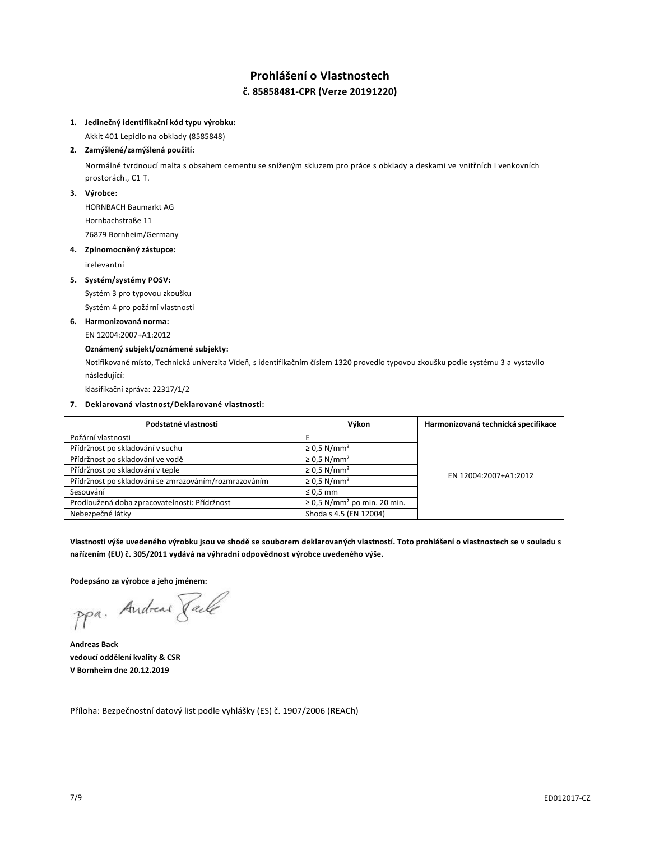# **Prohlášení o Vlastnostech č. 85858481-CPR (Verze 20191220)**

### **1. Jedinečný identifikační kód typu výrobku:**

Akkit 401 Lepidlo na obklady (8585848)

### **2. Zamýšlené/zamýšlená použití:**

Normálně tvrdnoucí malta s obsahem cementu se sníženým skluzem pro práce s obklady a deskami ve vnitřních i venkovních prostorách., C1 T.

### **3. Výrobce:**

HORNBACH Baumarkt AG Hornbachstraße 11 76879 Bornheim/Germany

### **4. Zplnomocněný zástupce:**

irelevantní

### **5. Systém/systémy POSV:**

Systém 3 pro typovou zkoušku Systém 4 pro požární vlastnosti

### **6. Harmonizovaná norma:**

EN 12004:2007+A1:2012

### **Oznámený subjekt/oznámené subjekty:**

Notifikované místo, Technická univerzita Vídeň, s identifikačním číslem 1320 provedlo typovou zkoušku podle systému 3 a vystavilo následující:

klasifikační zpráva: 22317/1/2

### **7. Deklarovaná vlastnost/Deklarované vlastnosti:**

| Podstatné vlastnosti                                  | Výkon                                        | Harmonizovaná technická specifikace |
|-------------------------------------------------------|----------------------------------------------|-------------------------------------|
| Požární vlastnosti                                    |                                              |                                     |
| Přídržnost po skladování v suchu                      | $\geq$ 0.5 N/mm <sup>2</sup>                 |                                     |
| Přídržnost po skladování ve vodě                      | $\geq$ 0.5 N/mm <sup>2</sup>                 | EN 12004:2007+A1:2012               |
| Přídržnost po skladování v teple                      | $\geq$ 0.5 N/mm <sup>2</sup>                 |                                     |
| Přídržnost po skladování se zmrazováním/rozmrazováním | $\geq$ 0.5 N/mm <sup>2</sup>                 |                                     |
| Sesouvání                                             | $\leq 0.5$ mm                                |                                     |
| Prodloužená doba zpracovatelnosti: Přídržnost         | $\geq$ 0.5 N/mm <sup>2</sup> po min. 20 min. |                                     |
| Nebezpečné látky                                      | Shoda s 4.5 (EN 12004)                       |                                     |

**Vlastnosti výše uvedeného výrobku jsou ve shodě se souborem deklarovaných vlastností. Toto prohlášení o vlastnostech se v souladu s nařízením (EU) č. 305/2011 vydává na výhradní odpovědnost výrobce uvedeného výše.**

**Podepsáno za výrobce a jeho jménem:**

ppa. Andreas Faile

**Andreas Back vedoucí oddělení kvality & CSR V Bornheim dne 20.12.2019**

Příloha: Bezpečnostní datový list podle vyhlášky (ES) č. 1907/2006 (REACh)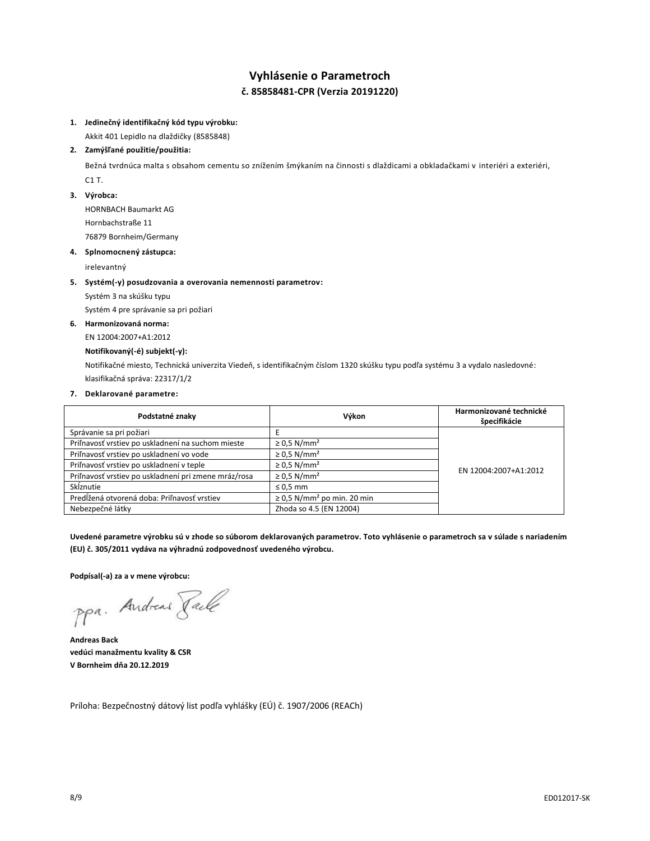# **Vyhlásenie o Parametroch č. 85858481-CPR (Verzia 20191220)**

### **1. Jedinečný identifikačný kód typu výrobku:**

Akkit 401 Lepidlo na dlaždičky (8585848)

### **2. Zamýšľané použitie/použitia:**

Bežná tvrdnúca malta s obsahom cementu so znížením šmýkaním na činnosti s dlaždicami a obkladačkami v interiéri a exteriéri, C1 T.

### **3. Výrobca:**

HORNBACH Baumarkt AG Hornbachstraße 11 76879 Bornheim/Germany

### **4. Splnomocnený zástupca:**

irelevantný

### **5. Systém(-y) posudzovania a overovania nemennosti parametrov:**

Systém 3 na skúšku typu

Systém 4 pre správanie sa pri požiari

### **6. Harmonizovaná norma:**

EN 12004:2007+A1:2012

### **Notifikovaný(-é) subjekt(-y):**

Notifikačné miesto, Technická univerzita Viedeň, s identifikačným číslom 1320 skúšku typu podľa systému 3 a vydalo nasledovné: klasifikačná správa: 22317/1/2

### **7. Deklarované parametre:**

| Podstatné znaky                                      | Výkon                                       | Harmonizované technické<br>špecifikácie |
|------------------------------------------------------|---------------------------------------------|-----------------------------------------|
| Správanie sa pri požiari                             |                                             |                                         |
| Priľnavosť vrstiev po uskladnení na suchom mieste    | $\geq$ 0.5 N/mm <sup>2</sup>                |                                         |
| Priľnavosť vrstiev po uskladnení vo vode             | $\geq$ 0.5 N/mm <sup>2</sup>                | EN 12004:2007+A1:2012                   |
| Priľnavosť vrstiev po uskladnení v teple             | $\geq$ 0.5 N/mm <sup>2</sup>                |                                         |
| Priľnavosť vrstiev po uskladnení pri zmene mráz/rosa | $\geq$ 0.5 N/mm <sup>2</sup>                |                                         |
| Skĺznutie                                            | $\leq 0.5$ mm                               |                                         |
| Predĺžená otvorená doba: Priľnavosť vrstiev          | $\geq$ 0.5 N/mm <sup>2</sup> po min. 20 min |                                         |
| Nebezpečné látky                                     | Zhoda so 4.5 (EN 12004)                     |                                         |

**Uvedené parametre výrobku sú v zhode so súborom deklarovaných parametrov. Toto vyhlásenie o parametroch sa v súlade s nariadením (EU) č. 305/2011 vydáva na výhradnú zodpovednosť uvedeného výrobcu.**

**Podpísal(-a) za a v mene výrobcu:**

ppa. Andreas Face

**Andreas Back vedúci manažmentu kvality & CSR V Bornheim dňa 20.12.2019**

Príloha: Bezpečnostný dátový list podľa vyhlášky (EÚ) č. 1907/2006 (REACh)